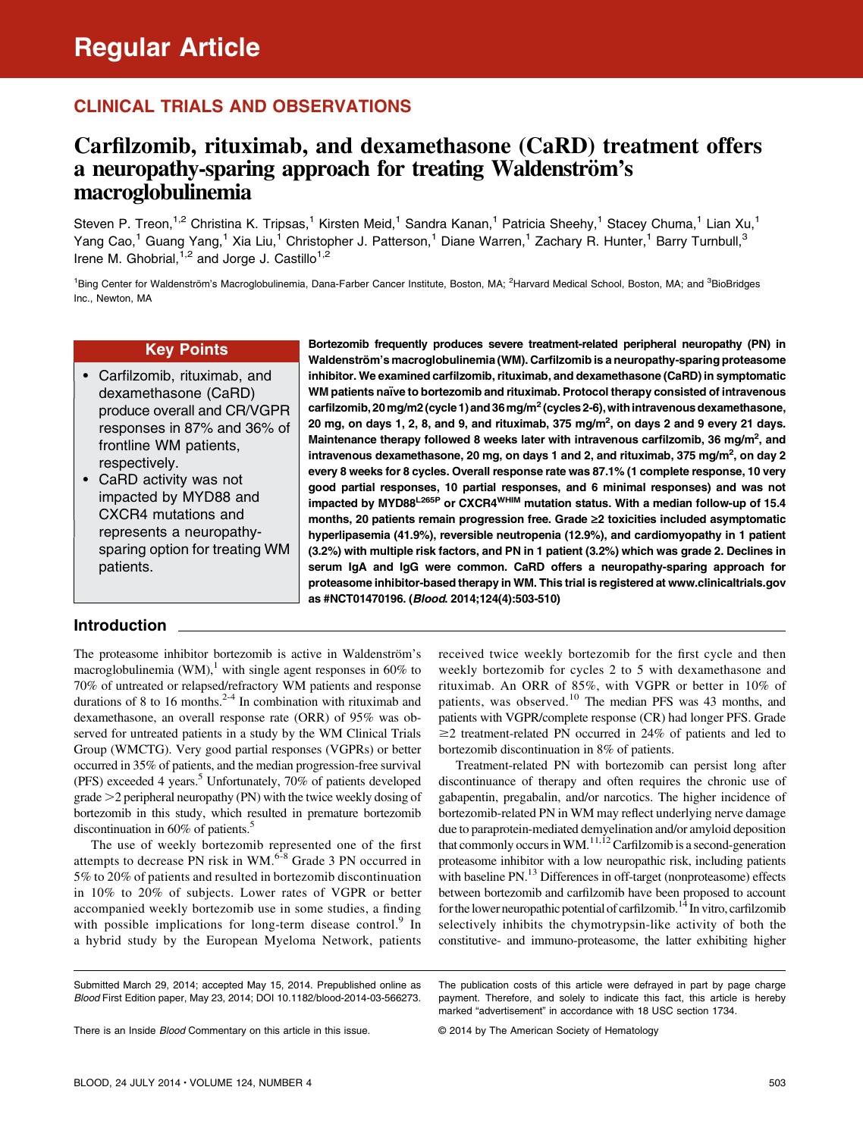## CLINICAL TRIALS AND OBSERVATIONS

# Carfilzomib, rituximab, and dexamethasone (CaRD) treatment offers a neuropathy-sparing approach for treating Waldenström's macroglobulinemia

Steven P. Treon,<sup>1,2</sup> Christina K. Tripsas,<sup>1</sup> Kirsten Meid,<sup>1</sup> Sandra Kanan,<sup>1</sup> Patricia Sheehy,<sup>1</sup> Stacey Chuma,<sup>1</sup> Lian Xu,<sup>1</sup> Yang Cao,<sup>1</sup> Guang Yang,<sup>1</sup> Xia Liu,<sup>1</sup> Christopher J. Patterson,<sup>1</sup> Diane Warren,<sup>1</sup> Zachary R. Hunter,<sup>1</sup> Barry Turnbull,<sup>3</sup> Irene M. Ghobrial,  $1,2$  and Jorge J. Castillo<sup>1,2</sup>

<sup>1</sup>Bing Center for Waldenström's Macroglobulinemia, Dana-Farber Cancer Institute, Boston, MA; <sup>2</sup>Harvard Medical School, Boston, MA; and <sup>3</sup>BioBridges Inc., Newton, MA

as #NCT01470196. (Blood. 2014;124(4):503-510)

### Key Points

- Carfilzomib, rituximab, and dexamethasone (CaRD) produce overall and CR/VGPR responses in 87% and 36% of frontline WM patients, respectively.
- CaRD activity was not impacted by MYD88 and CXCR4 mutations and represents a neuropathysparing option for treating WM patients.

### Introduction

The proteasome inhibitor bortezomib is active in Waldenström's macroglobulinemia (WM),<sup>1</sup> with single agent responses in 60% to 70% of untreated or relapsed/refractory WM patients and response durations of 8 to 16 months. $2-4$  In combination with rituximab and dexamethasone, an overall response rate (ORR) of 95% was observed for untreated patients in a study by the WM Clinical Trials Group (WMCTG). Very good partial responses (VGPRs) or better occurred in 35% of patients, and the median progression-free survival (PFS) exceeded 4 years.<sup>5</sup> Unfortunately,  $70\%$  of patients developed grade  $>$  2 peripheral neuropathy (PN) with the twice weekly dosing of bortezomib in this study, which resulted in premature bortezomib discontinuation in 60% of patients.<sup>5</sup>

The use of weekly bortezomib represented one of the first attempts to decrease PN risk in WM.<sup>6-8</sup> Grade 3 PN occurred in 5% to 20% of patients and resulted in bortezomib discontinuation in 10% to 20% of subjects. Lower rates of VGPR or better accompanied weekly bortezomib use in some studies, a finding with possible implications for long-term disease control.<sup>9</sup> In a hybrid study by the European Myeloma Network, patients received twice weekly bortezomib for the first cycle and then weekly bortezomib for cycles 2 to 5 with dexamethasone and rituximab. An ORR of 85%, with VGPR or better in 10% of patients, was observed.<sup>10</sup> The median PFS was 43 months, and patients with VGPR/complete response (CR) had longer PFS. Grade  $\geq$ 2 treatment-related PN occurred in 24% of patients and led to bortezomib discontinuation in 8% of patients.

Bortezomib frequently produces severe treatment-related peripheral neuropathy (PN) in Waldenström's macroglobulinemia (WM). Carfilzomib is a neuropathy-sparing proteasome inhibitor. We examined carfilzomib, rituximab, and dexamethasone (CaRD) in symptomatic WM patients naïve to bortezomib and rituximab. Protocol therapy consisted of intravenous carfilzomib, 20 mg/m2 (cycle 1) and 36 mg/m<sup>2</sup> (cycles 2-6), with intravenous dexamethasone, 20 mg, on days 1, 2, 8, and 9, and rituximab, 375 mg/m<sup>2</sup>, on days 2 and 9 every 21 days. Maintenance therapy followed 8 weeks later with intravenous carfilzomib, 36 mg/m<sup>2</sup>, and intravenous dexamethasone, 20 mg, on days 1 and 2, and rituximab, 375 mg/m $^2$ , on day 2 every 8 weeks for 8 cycles. Overall response rate was 87.1% (1 complete response, 10 very good partial responses, 10 partial responses, and 6 minimal responses) and was not impacted by MYD88<sup>L265P</sup> or CXCR4<sup>WHIM</sup> mutation status. With a median follow-up of 15.4 months, 20 patients remain progression free. Grade ≥2 toxicities included asymptomatic hyperlipasemia (41.9%), reversible neutropenia (12.9%), and cardiomyopathy in 1 patient (3.2%) with multiple risk factors, and PN in 1 patient (3.2%) which was grade 2. Declines in serum IgA and IgG were common. CaRD offers a neuropathy-sparing approach for proteasome inhibitor-based therapy in WM. This trial is registered at [www.clinicaltrials.gov](http://www.clinicaltrials.gov)

> Treatment-related PN with bortezomib can persist long after discontinuance of therapy and often requires the chronic use of gabapentin, pregabalin, and/or narcotics. The higher incidence of bortezomib-related PN in WM may reflect underlying nerve damage due to paraprotein-mediated demyelination and/or amyloid deposition that commonly occurs in WM.<sup>11,12</sup> Carfilzomib is a second-generation proteasome inhibitor with a low neuropathic risk, including patients with baseline PN.<sup>13</sup> Differences in off-target (nonproteasome) effects between bortezomib and carfilzomib have been proposed to account for the lower neuropathic potential of carfilzomib.<sup>14</sup> In vitro, carfilzomib selectively inhibits the chymotrypsin-like activity of both the constitutive- and immuno-proteasome, the latter exhibiting higher

© 2014 by The American Society of Hematology

Submitted March 29, 2014; accepted May 15, 2014. Prepublished online as Blood First Edition paper, May 23, 2014; DOI 10.1182/blood-2014-03-566273.

The publication costs of this article were defrayed in part by page charge payment. Therefore, and solely to indicate this fact, this article is hereby marked "advertisement" in accordance with 18 USC section 1734.

There is an Inside **Blood Commentary on this article in this issue.**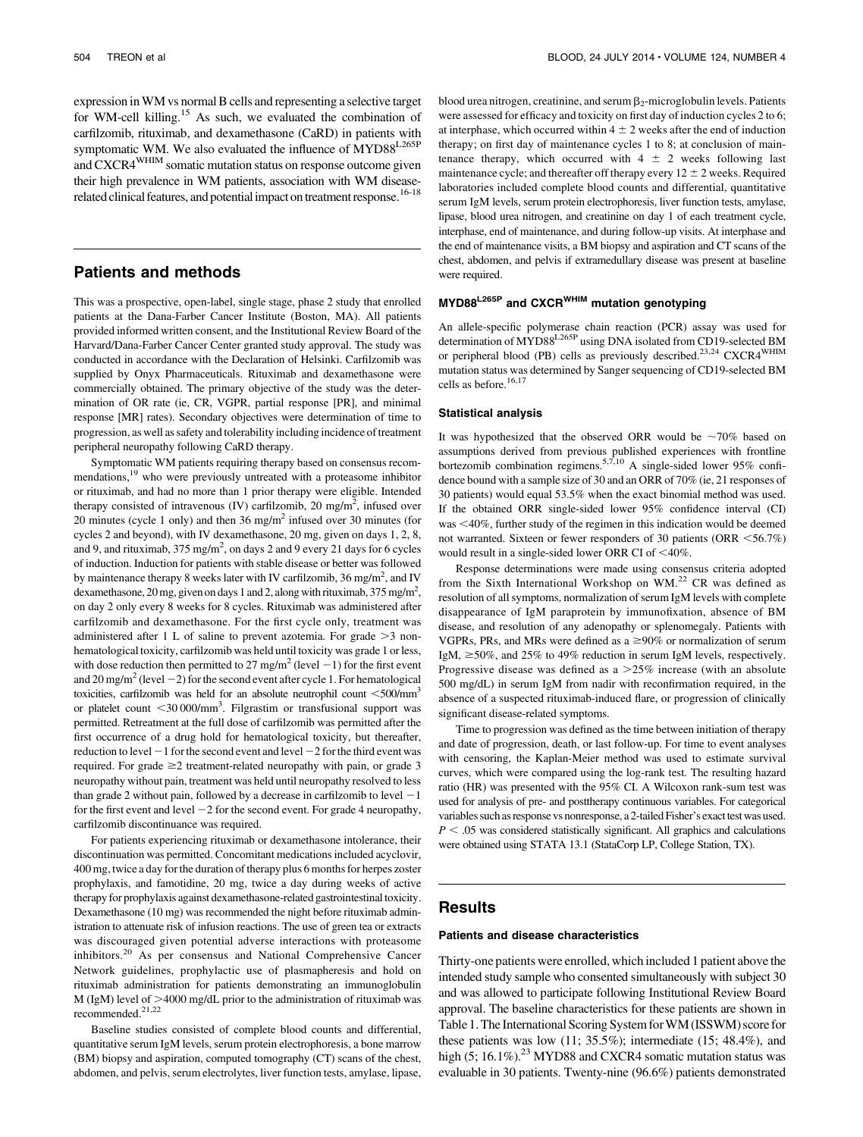expression inWM vs normal B cells and representing a selective target for WM-cell killing.15 As such, we evaluated the combination of carfilzomib, rituximab, and dexamethasone (CaRD) in patients with symptomatic WM. We also evaluated the influence of MYD88<sup>L265P</sup> and CXCR4WHIM somatic mutation status on response outcome given their high prevalence in WM patients, association with WM diseaserelated clinical features, and potential impact on treatment response.<sup>16-18</sup>

### Patients and methods

This was a prospective, open-label, single stage, phase 2 study that enrolled patients at the Dana-Farber Cancer Institute (Boston, MA). All patients provided informed written consent, and the Institutional Review Board of the Harvard/Dana-Farber Cancer Center granted study approval. The study was conducted in accordance with the Declaration of Helsinki. Carfilzomib was supplied by Onyx Pharmaceuticals. Rituximab and dexamethasone were commercially obtained. The primary objective of the study was the determination of OR rate (ie, CR, VGPR, partial response [PR], and minimal response [MR] rates). Secondary objectives were determination of time to progression, as well as safety and tolerability including incidence of treatment peripheral neuropathy following CaRD therapy.

Symptomatic WM patients requiring therapy based on consensus recommendations,<sup>19</sup> who were previously untreated with a proteasome inhibitor or rituximab, and had no more than 1 prior therapy were eligible. Intended therapy consisted of intravenous (IV) carfilzomib, 20 mg/m<sup>2</sup>, infused over 20 minutes (cycle 1 only) and then 36 mg/m<sup>2</sup> infused over 30 minutes (for cycles 2 and beyond), with IV dexamethasone, 20 mg, given on days 1, 2, 8, and 9, and rituximab,  $375 \text{ mg/m}^2$ , on days 2 and 9 every 21 days for 6 cycles of induction. Induction for patients with stable disease or better was followed by maintenance therapy 8 weeks later with IV carfilzomib,  $36 \text{ mg/m}^2$ , and IV dexamethasone, 20 mg, given on days 1 and 2, along with rituximab,  $375 \text{ mg/m}^2$ , on day 2 only every 8 weeks for 8 cycles. Rituximab was administered after carfilzomib and dexamethasone. For the first cycle only, treatment was administered after 1 L of saline to prevent azotemia. For grade  $>3$  nonhematological toxicity, carfilzomib was held until toxicity was grade 1 or less, with dose reduction then permitted to 27 mg/m<sup>2</sup> (level  $-1$ ) for the first event and 20 mg/m<sup>2</sup> (level  $-2$ ) for the second event after cycle 1. For hematological toxicities, carfilzomib was held for an absolute neutrophil count  $\leq 500/\text{mm}^3$ or platelet count <30 000/mm<sup>3</sup>. Filgrastim or transfusional support was permitted. Retreatment at the full dose of carfilzomib was permitted after the first occurrence of a drug hold for hematological toxicity, but thereafter, reduction to level  $-1$  for the second event and level  $-2$  for the third event was required. For grade  $\geq 2$  treatment-related neuropathy with pain, or grade 3 neuropathy without pain, treatment was held until neuropathy resolved to less than grade 2 without pain, followed by a decrease in carfilzomib to level  $-1$ for the first event and level  $-2$  for the second event. For grade 4 neuropathy, carfilzomib discontinuance was required.

For patients experiencing rituximab or dexamethasone intolerance, their discontinuation was permitted. Concomitant medications included acyclovir, 400 mg, twice a day for the duration of therapy plus 6 months for herpes zoster prophylaxis, and famotidine, 20 mg, twice a day during weeks of active therapy for prophylaxis against dexamethasone-related gastrointestinal toxicity. Dexamethasone (10 mg) was recommended the night before rituximab administration to attenuate risk of infusion reactions. The use of green tea or extracts was discouraged given potential adverse interactions with proteasome inhibitors.<sup>20</sup> As per consensus and National Comprehensive Cancer Network guidelines, prophylactic use of plasmapheresis and hold on rituximab administration for patients demonstrating an immunoglobulin M (IgM) level of  $>4000$  mg/dL prior to the administration of rituximab was recommended.21,22

Baseline studies consisted of complete blood counts and differential, quantitative serum IgM levels, serum protein electrophoresis, a bone marrow (BM) biopsy and aspiration, computed tomography (CT) scans of the chest, abdomen, and pelvis, serum electrolytes, liver function tests, amylase, lipase,

blood urea nitrogen, creatinine, and serum  $\beta_2$ -microglobulin levels. Patients were assessed for efficacy and toxicity on first day of induction cycles 2 to 6; at interphase, which occurred within  $4 \pm 2$  weeks after the end of induction therapy; on first day of maintenance cycles 1 to 8; at conclusion of maintenance therapy, which occurred with  $4 \pm 2$  weeks following last maintenance cycle; and thereafter off therapy every  $12 \pm 2$  weeks. Required laboratories included complete blood counts and differential, quantitative serum IgM levels, serum protein electrophoresis, liver function tests, amylase, lipase, blood urea nitrogen, and creatinine on day 1 of each treatment cycle, interphase, end of maintenance, and during follow-up visits. At interphase and the end of maintenance visits, a BM biopsy and aspiration and CT scans of the chest, abdomen, and pelvis if extramedullary disease was present at baseline were required.

#### MYD88<sup>L265P</sup> and CXCR<sup>WHIM</sup> mutation genotyping

An allele-specific polymerase chain reaction (PCR) assay was used for determination of MYD88<sup>L265P</sup> using DNA isolated from CD19-selected BM or peripheral blood (PB) cells as previously described.<sup>23,24</sup> CXCR4<sup>WHIM</sup> mutation status was determined by Sanger sequencing of CD19-selected BM cells as before.<sup>16,17</sup>

#### Statistical analysis

It was hypothesized that the observed ORR would be  $~10\%$  based on assumptions derived from previous published experiences with frontline bortezomib combination regimens.<sup>5,7,10</sup> A single-sided lower 95% confidence bound with a sample size of 30 and an ORR of 70% (ie, 21 responses of 30 patients) would equal 53.5% when the exact binomial method was used. If the obtained ORR single-sided lower 95% confidence interval (CI) was  $<$ 40%, further study of the regimen in this indication would be deemed not warranted. Sixteen or fewer responders of 30 patients (ORR  $\leq$ 56.7%) would result in a single-sided lower ORR CI of  $<$  40%.

Response determinations were made using consensus criteria adopted from the Sixth International Workshop on WM.<sup>22</sup> CR was defined as resolution of all symptoms, normalization of serum IgM levels with complete disappearance of IgM paraprotein by immunofixation, absence of BM disease, and resolution of any adenopathy or splenomegaly. Patients with VGPRs, PRs, and MRs were defined as a  $\geq$ 90% or normalization of serum IgM,  $\geq$ 50%, and 25% to 49% reduction in serum IgM levels, respectively. Progressive disease was defined as a  $>25\%$  increase (with an absolute 500 mg/dL) in serum IgM from nadir with reconfirmation required, in the absence of a suspected rituximab-induced flare, or progression of clinically significant disease-related symptoms.

Time to progression was defined as the time between initiation of therapy and date of progression, death, or last follow-up. For time to event analyses with censoring, the Kaplan-Meier method was used to estimate survival curves, which were compared using the log-rank test. The resulting hazard ratio (HR) was presented with the 95% CI. A Wilcoxon rank-sum test was used for analysis of pre- and posttherapy continuous variables. For categorical variables such as response vs nonresponse, a 2-tailed Fisher's exact test was used.  $P < .05$  was considered statistically significant. All graphics and calculations were obtained using STATA 13.1 (StataCorp LP, College Station, TX).

#### Results

#### Patients and disease characteristics

Thirty-one patients were enrolled, which included 1 patient above the intended study sample who consented simultaneously with subject 30 and was allowed to participate following Institutional Review Board approval. The baseline characteristics for these patients are shown in Table 1. The International Scoring System forWM (ISSWM) score for these patients was low (11; 35.5%); intermediate (15; 48.4%), and high  $(5; 16.1\%)$ <sup>23</sup> MYD88 and CXCR4 somatic mutation status was evaluable in 30 patients. Twenty-nine (96.6%) patients demonstrated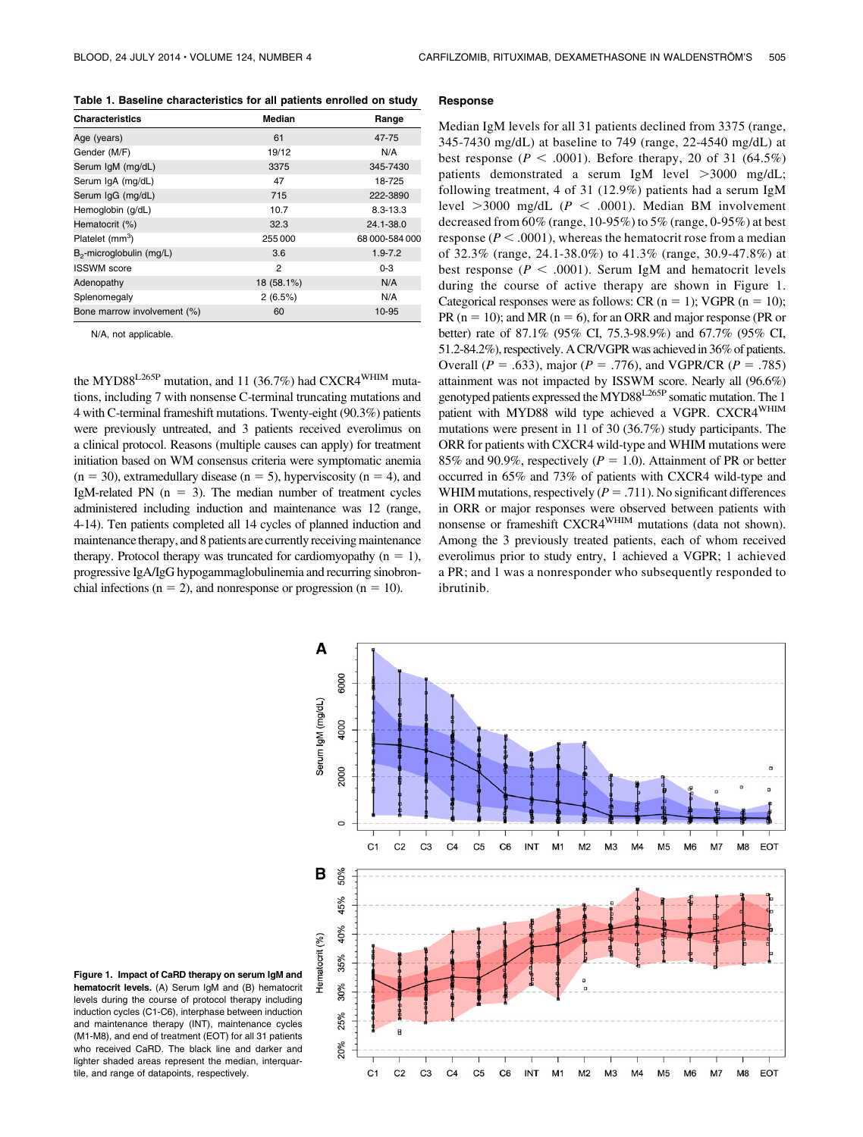Table 1. Baseline characteristics for all patients enrolled on study

| <b>Characteristics</b>               | Median     | Range          |
|--------------------------------------|------------|----------------|
| Age (years)                          | 61         | 47-75          |
| Gender (M/F)                         | 19/12      | N/A            |
| Serum IgM (mg/dL)                    | 3375       | 345-7430       |
| Serum IgA (mg/dL)                    | 47         | 18-725         |
| Serum IgG (mg/dL)                    | 715        | 222-3890       |
| Hemoglobin (g/dL)                    | 10.7       | $8.3 - 13.3$   |
| Hematocrit (%)                       | 32.3       | 24.1-38.0      |
| Platelet (mm <sup>3</sup> )          | 255 000    | 68 000-584 000 |
| B <sub>2</sub> -microglobulin (mg/L) | 3.6        | $1.9 - 7.2$    |
| <b>ISSWM</b> score                   | 2          | $0 - 3$        |
| Adenopathy                           | 18 (58.1%) | N/A            |
| Splenomegaly                         | 2(6.5%)    | N/A            |
| Bone marrow involvement (%)          | 60         | 10-95          |

N/A, not applicable.

the MYD88<sup>L265P</sup> mutation, and 11 (36.7%) had CXCR4<sup>WHIM</sup> mutations, including 7 with nonsense C-terminal truncating mutations and 4 with C-terminal frameshift mutations. Twenty-eight (90.3%) patients were previously untreated, and 3 patients received everolimus on a clinical protocol. Reasons (multiple causes can apply) for treatment initiation based on WM consensus criteria were symptomatic anemia  $(n = 30)$ , extramedullary disease  $(n = 5)$ , hyperviscosity  $(n = 4)$ , and IgM-related PN  $(n = 3)$ . The median number of treatment cycles administered including induction and maintenance was 12 (range, 4-14). Ten patients completed all 14 cycles of planned induction and maintenance therapy, and 8 patients are currently receiving maintenance therapy. Protocol therapy was truncated for cardiomyopathy  $(n = 1)$ , progressive IgA/IgG hypogammaglobulinemia and recurring sinobronchial infections ( $n = 2$ ), and nonresponse or progression ( $n = 10$ ).

#### Response

Median IgM levels for all 31 patients declined from 3375 (range, 345-7430 mg/dL) at baseline to 749 (range, 22-4540 mg/dL) at best response ( $P < .0001$ ). Before therapy, 20 of 31 (64.5%) patients demonstrated a serum IgM level  $>3000$  mg/dL; following treatment, 4 of 31 (12.9%) patients had a serum IgM level  $>3000$  mg/dL ( $P < .0001$ ). Median BM involvement decreased from 60% (range, 10-95%) to 5% (range, 0-95%) at best response ( $P < .0001$ ), whereas the hematocrit rose from a median of 32.3% (range, 24.1-38.0%) to 41.3% (range, 30.9-47.8%) at best response ( $P < .0001$ ). Serum IgM and hematocrit levels during the course of active therapy are shown in Figure 1. Categorical responses were as follows: CR ( $n = 1$ ); VGPR ( $n = 10$ ); PR ( $n = 10$ ); and MR ( $n = 6$ ), for an ORR and major response (PR or better) rate of 87.1% (95% CI, 75.3-98.9%) and 67.7% (95% CI, 51.2-84.2%), respectively. A CR/VGPR was achieved in 36% of patients. Overall ( $P = .633$ ), major ( $P = .776$ ), and VGPR/CR ( $P = .785$ ) attainment was not impacted by ISSWM score. Nearly all (96.6%) genotyped patients expressed the MYD88<sup>L265P</sup> somatic mutation. The 1 patient with MYD88 wild type achieved a VGPR. CXCR4<sup>WHIM</sup> mutations were present in 11 of 30 (36.7%) study participants. The ORR for patients with CXCR4 wild-type and WHIM mutations were 85% and 90.9%, respectively ( $P = 1.0$ ). Attainment of PR or better occurred in 65% and 73% of patients with CXCR4 wild-type and WHIM mutations, respectively ( $P = .711$ ). No significant differences in ORR or major responses were observed between patients with nonsense or frameshift CXCR4<sup>WHIM</sup> mutations (data not shown). Among the 3 previously treated patients, each of whom received everolimus prior to study entry, 1 achieved a VGPR; 1 achieved a PR; and 1 was a nonresponder who subsequently responded to ibrutinib.



Figure 1. Impact of CaRD therapy on serum IgM and hematocrit levels. (A) Serum IgM and (B) hematocrit levels during the course of protocol therapy including induction cycles (C1-C6), interphase between induction and maintenance therapy (INT), maintenance cycles (M1-M8), and end of treatment (EOT) for all 31 patients who received CaRD. The black line and darker and lighter shaded areas represent the median, interguartile, and range of datapoints, respectively.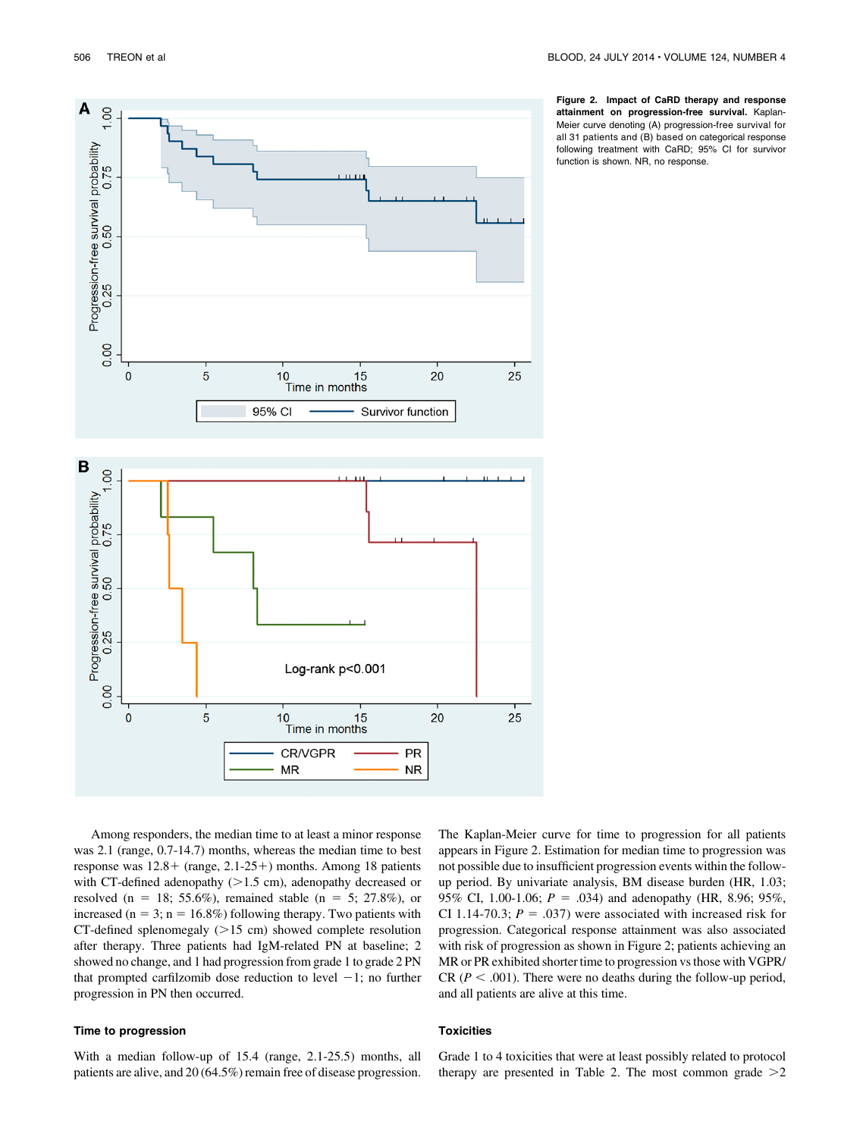

10 15<br>Time in months

**CR/VGPR** 

**MR** 

Figure 2. Impact of CaRD therapy and response attainment on progression-free survival. Kaplan-Meier curve denoting (A) progression-free survival for all 31 patients and (B) based on categorical response following treatment with CaRD; 95% CI for survivor function is shown. NR, no response.

Among responders, the median time to at least a minor response was 2.1 (range, 0.7-14.7) months, whereas the median time to best response was  $12.8 +$  (range,  $2.1-25+$ ) months. Among 18 patients with CT-defined adenopathy  $(>1.5 \text{ cm})$ , adenopathy decreased or resolved (n = 18; 55.6%), remained stable (n = 5; 27.8%), or increased ( $n = 3$ ;  $n = 16.8\%$ ) following therapy. Two patients with CT-defined splenomegaly  $(>15$  cm) showed complete resolution after therapy. Three patients had IgM-related PN at baseline; 2 showed no change, and 1 had progression from grade 1 to grade 2 PN that prompted carfilzomib dose reduction to level  $-1$ ; no further progression in PN then occurred.

 $\overline{5}$ 

### Time to progression

0.00

 $\mathbf{0}$ 

With a median follow-up of 15.4 (range, 2.1-25.5) months, all patients are alive, and 20 (64.5%) remain free of disease progression.

The Kaplan-Meier curve for time to progression for all patients appears in Figure 2. Estimation for median time to progression was not possible due to insufficient progression events within the followup period. By univariate analysis, BM disease burden (HR, 1.03; 95% CI, 1.00-1.06;  $P = .034$ ) and adenopathy (HR, 8.96; 95%, CI 1.14-70.3;  $P = .037$ ) were associated with increased risk for progression. Categorical response attainment was also associated with risk of progression as shown in Figure 2; patients achieving an MR or PR exhibited shorter time to progression vs those with VGPR/ CR ( $P < .001$ ). There were no deaths during the follow-up period, and all patients are alive at this time.

#### **Toxicities**

20

**PR** 

**NR** 

25

Grade 1 to 4 toxicities that were at least possibly related to protocol therapy are presented in Table 2. The most common grade  $>2$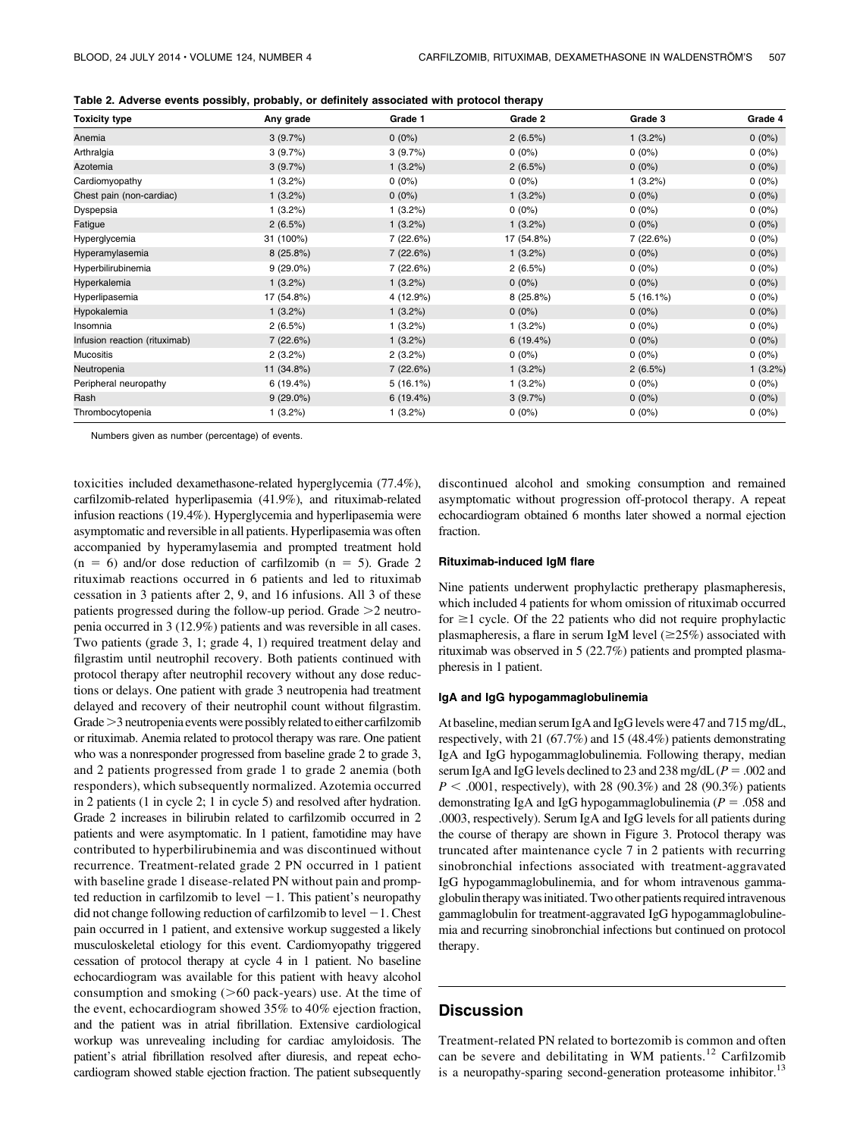|  |  | Table 2. Adverse events possibly, probably, or definitely associated with protocol therapy |
|--|--|--------------------------------------------------------------------------------------------|
|--|--|--------------------------------------------------------------------------------------------|

| <b>Toxicity type</b>          | Any grade   | Grade 1    | Grade 2    | Grade 3    | Grade 4  |
|-------------------------------|-------------|------------|------------|------------|----------|
| Anemia                        | 3(9.7%)     | $0(0\%)$   | 2(6.5%)    | $1(3.2\%)$ | $0(0\%)$ |
| Arthralgia                    | 3(9.7%)     | 3(9.7%)    | $0(0\%)$   | $0(0\%)$   | $0(0\%)$ |
| Azotemia                      | 3(9.7%)     | $1(3.2\%)$ | 2(6.5%)    | $0(0\%)$   | $0(0\%)$ |
| Cardiomyopathy                | 1(3.2%)     | $0(0\%)$   | $0(0\%)$   | 1(3.2%)    | $0(0\%)$ |
| Chest pain (non-cardiac)      | $1(3.2\%)$  | $0(0\%)$   | $1(3.2\%)$ | $0(0\%)$   | $0(0\%)$ |
| Dyspepsia                     | 1(3.2%)     | 1(3.2%)    | $0(0\%)$   | $0(0\%)$   | $0(0\%)$ |
| Fatigue                       | 2(6.5%)     | $1(3.2\%)$ | $1(3.2\%)$ | $0(0\%)$   | $0(0\%)$ |
| Hyperglycemia                 | 31 (100%)   | 7 (22.6%)  | 17 (54.8%) | 7(22.6%)   | $0(0\%)$ |
| Hyperamylasemia               | 8 (25.8%)   | 7(22.6%)   | $1(3.2\%)$ | $0(0\%)$   | $0(0\%)$ |
| Hyperbilirubinemia            | $9(29.0\%)$ | 7 (22.6%)  | 2(6.5%)    | $0(0\%)$   | $0(0\%)$ |
| Hyperkalemia                  | 1(3.2%)     | $1(3.2\%)$ | $0(0\%)$   | $0(0\%)$   | $0(0\%)$ |
| Hyperlipasemia                | 17 (54.8%)  | 4 (12.9%)  | 8 (25.8%)  | 5(16.1%)   | $0(0\%)$ |
| Hypokalemia                   | $1(3.2\%)$  | $1(3.2\%)$ | $0(0\%)$   | $0(0\%)$   | $0(0\%)$ |
| Insomnia                      | 2(6.5%)     | $1(3.2\%)$ | $1(3.2\%)$ | $0(0\%)$   | $0(0\%)$ |
| Infusion reaction (rituximab) | 7(22.6%)    | $1(3.2\%)$ | 6(19.4%)   | $0(0\%)$   | $0(0\%)$ |
| <b>Mucositis</b>              | 2(3.2%)     | 2(3.2%)    | $0(0\%)$   | $0(0\%)$   | $0(0\%)$ |
| Neutropenia                   | 11 (34.8%)  | 7(22.6%)   | 1(3.2%)    | 2(6.5%)    | 1(3.2%)  |
| Peripheral neuropathy         | 6(19.4%)    | 5(16.1%)   | $1(3.2\%)$ | $0(0\%)$   | $0(0\%)$ |
| Rash                          | $9(29.0\%)$ | 6(19.4%)   | 3(9.7%)    | $0(0\%)$   | $0(0\%)$ |
| Thrombocytopenia              | 1(3.2%)     | $1(3.2\%)$ | $0(0\%)$   | $0(0\%)$   | $0(0\%)$ |

Numbers given as number (percentage) of events.

toxicities included dexamethasone-related hyperglycemia (77.4%), carfilzomib-related hyperlipasemia (41.9%), and rituximab-related infusion reactions (19.4%). Hyperglycemia and hyperlipasemia were asymptomatic and reversible in all patients. Hyperlipasemia was often accompanied by hyperamylasemia and prompted treatment hold  $(n = 6)$  and/or dose reduction of carfilzomib  $(n = 5)$ . Grade 2 rituximab reactions occurred in 6 patients and led to rituximab cessation in 3 patients after 2, 9, and 16 infusions. All 3 of these patients progressed during the follow-up period. Grade  $>2$  neutropenia occurred in 3 (12.9%) patients and was reversible in all cases. Two patients (grade 3, 1; grade 4, 1) required treatment delay and filgrastim until neutrophil recovery. Both patients continued with protocol therapy after neutrophil recovery without any dose reductions or delays. One patient with grade 3 neutropenia had treatment delayed and recovery of their neutrophil count without filgrastim. Grade $>$ 3 neutropenia events were possibly related to either carfilzomib or rituximab. Anemia related to protocol therapy was rare. One patient who was a nonresponder progressed from baseline grade 2 to grade 3, and 2 patients progressed from grade 1 to grade 2 anemia (both responders), which subsequently normalized. Azotemia occurred in 2 patients (1 in cycle 2; 1 in cycle 5) and resolved after hydration. Grade 2 increases in bilirubin related to carfilzomib occurred in 2 patients and were asymptomatic. In 1 patient, famotidine may have contributed to hyperbilirubinemia and was discontinued without recurrence. Treatment-related grade 2 PN occurred in 1 patient with baseline grade 1 disease-related PN without pain and prompted reduction in carfilzomib to level  $-1$ . This patient's neuropathy did not change following reduction of carfilzomib to level  $-1$ . Chest pain occurred in 1 patient, and extensive workup suggested a likely musculoskeletal etiology for this event. Cardiomyopathy triggered cessation of protocol therapy at cycle 4 in 1 patient. No baseline echocardiogram was available for this patient with heavy alcohol consumption and smoking  $($ >60 pack-years) use. At the time of the event, echocardiogram showed 35% to 40% ejection fraction, and the patient was in atrial fibrillation. Extensive cardiological workup was unrevealing including for cardiac amyloidosis. The patient's atrial fibrillation resolved after diuresis, and repeat echocardiogram showed stable ejection fraction. The patient subsequently

discontinued alcohol and smoking consumption and remained asymptomatic without progression off-protocol therapy. A repeat echocardiogram obtained 6 months later showed a normal ejection fraction.

#### Rituximab-induced IgM flare

Nine patients underwent prophylactic pretherapy plasmapheresis, which included 4 patients for whom omission of rituximab occurred for  $\geq$ 1 cycle. Of the 22 patients who did not require prophylactic plasmapheresis, a flare in serum IgM level  $(\geq 25\%)$  associated with rituximab was observed in 5 (22.7%) patients and prompted plasmapheresis in 1 patient.

#### IgA and IgG hypogammaglobulinemia

At baseline, median serum IgA and IgG levels were 47 and 715 mg/dL, respectively, with 21 (67.7%) and 15 (48.4%) patients demonstrating IgA and IgG hypogammaglobulinemia. Following therapy, median serum IgA and IgG levels declined to 23 and 238 mg/dL ( $P = .002$  and  $P < .0001$ , respectively), with 28 (90.3%) and 28 (90.3%) patients demonstrating IgA and IgG hypogammaglobulinemia ( $P = .058$  and .0003, respectively). Serum IgA and IgG levels for all patients during the course of therapy are shown in Figure 3. Protocol therapy was truncated after maintenance cycle 7 in 2 patients with recurring sinobronchial infections associated with treatment-aggravated IgG hypogammaglobulinemia, and for whom intravenous gammaglobulin therapy wasinitiated. Two other patients required intravenous gammaglobulin for treatment-aggravated IgG hypogammaglobulinemia and recurring sinobronchial infections but continued on protocol therapy.

### **Discussion**

Treatment-related PN related to bortezomib is common and often can be severe and debilitating in WM patients.<sup>12</sup> Carfilzomib is a neuropathy-sparing second-generation proteasome inhibitor.<sup>13</sup>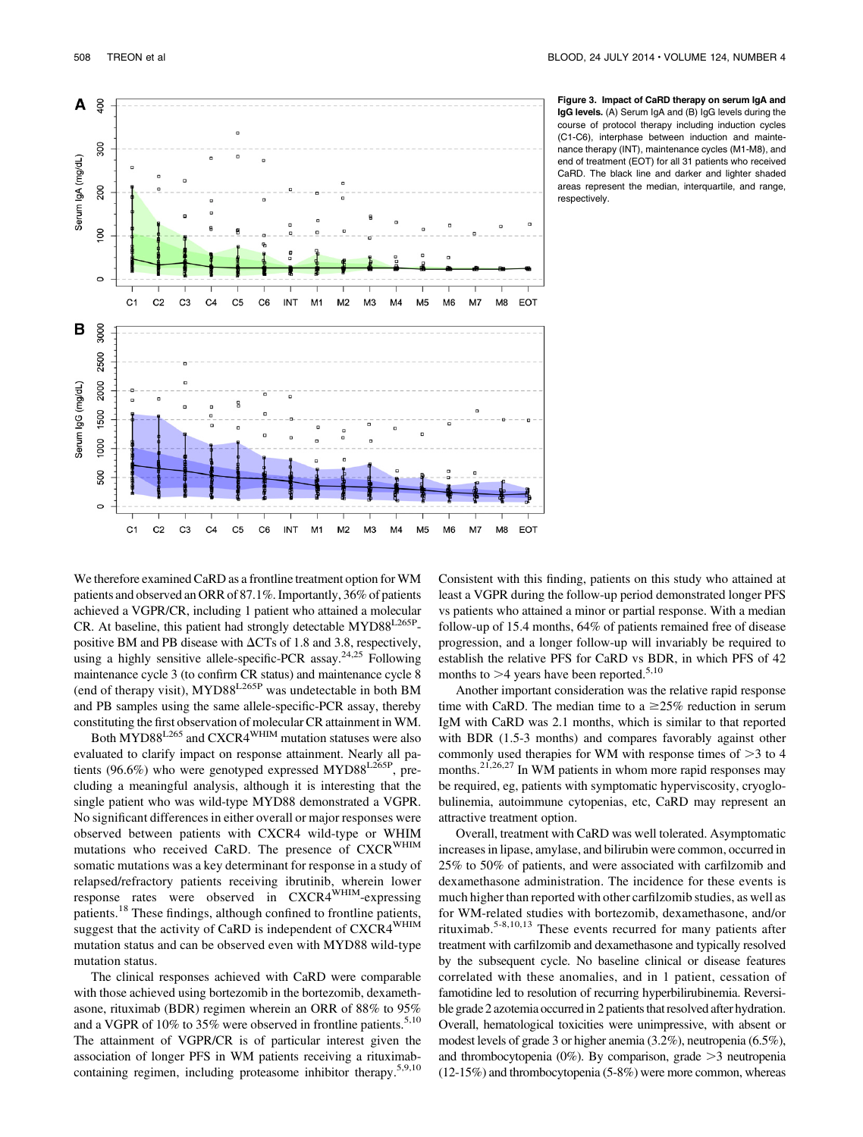

Figure 3. Impact of CaRD therapy on serum IgA and IgG levels. (A) Serum IgA and (B) IgG levels during the course of protocol therapy including induction cycles (C1-C6), interphase between induction and maintenance therapy (INT), maintenance cycles (M1-M8), and end of treatment (EOT) for all 31 patients who received CaRD. The black line and darker and lighter shaded areas represent the median, interquartile, and range, respectively.

We therefore examined CaRD as a frontline treatment option for WM patients and observed an ORR of 87.1%. Importantly, 36% of patients achieved a VGPR/CR, including 1 patient who attained a molecular CR. At baseline, this patient had strongly detectable MYD88L265Ppositive BM and PB disease with  $\Delta CTs$  of 1.8 and 3.8, respectively, using a highly sensitive allele-specific-PCR assay.<sup>24,25</sup> Following maintenance cycle 3 (to confirm CR status) and maintenance cycle 8 (end of therapy visit), MYD88L265P was undetectable in both BM and PB samples using the same allele-specific-PCR assay, thereby constituting the first observation of molecular CR attainment in WM.

Both MYD88<sup>L265</sup> and CXCR4<sup>WHIM</sup> mutation statuses were also evaluated to clarify impact on response attainment. Nearly all patients (96.6%) who were genotyped expressed MYD88<sup>L265P</sup>, precluding a meaningful analysis, although it is interesting that the single patient who was wild-type MYD88 demonstrated a VGPR. No significant differences in either overall or major responses were observed between patients with CXCR4 wild-type or WHIM mutations who received CaRD. The presence of CXCR<sup>WHIM</sup> somatic mutations was a key determinant for response in a study of relapsed/refractory patients receiving ibrutinib, wherein lower response rates were observed in CXCR4WHIM-expressing patients.<sup>18</sup> These findings, although confined to frontline patients, suggest that the activity of CaRD is independent of CXCR4<sup>WHIM</sup> mutation status and can be observed even with MYD88 wild-type mutation status.

The clinical responses achieved with CaRD were comparable with those achieved using bortezomib in the bortezomib, dexamethasone, rituximab (BDR) regimen wherein an ORR of 88% to 95% and a VGPR of 10% to 35% were observed in frontline patients.<sup>5,10</sup> The attainment of VGPR/CR is of particular interest given the association of longer PFS in WM patients receiving a rituximabcontaining regimen, including proteasome inhibitor therapy.5,9,10 Consistent with this finding, patients on this study who attained at least a VGPR during the follow-up period demonstrated longer PFS vs patients who attained a minor or partial response. With a median follow-up of 15.4 months, 64% of patients remained free of disease progression, and a longer follow-up will invariably be required to establish the relative PFS for CaRD vs BDR, in which PFS of 42 months to  $>4$  years have been reported.<sup>5,10</sup>

Another important consideration was the relative rapid response time with CaRD. The median time to a  $\geq$  25% reduction in serum IgM with CaRD was 2.1 months, which is similar to that reported with BDR (1.5-3 months) and compares favorably against other commonly used therapies for WM with response times of  $>$ 3 to 4 months.<sup>21,26,27</sup> In WM patients in whom more rapid responses may be required, eg, patients with symptomatic hyperviscosity, cryoglobulinemia, autoimmune cytopenias, etc, CaRD may represent an attractive treatment option.

Overall, treatment with CaRD was well tolerated. Asymptomatic increases in lipase, amylase, and bilirubin were common, occurred in 25% to 50% of patients, and were associated with carfilzomib and dexamethasone administration. The incidence for these events is much higher than reported with other carfilzomib studies, as well as for WM-related studies with bortezomib, dexamethasone, and/or rituximab.5-8,10,13 These events recurred for many patients after treatment with carfilzomib and dexamethasone and typically resolved by the subsequent cycle. No baseline clinical or disease features correlated with these anomalies, and in 1 patient, cessation of famotidine led to resolution of recurring hyperbilirubinemia. Reversible grade 2 azotemia occurred in 2 patients that resolved after hydration. Overall, hematological toxicities were unimpressive, with absent or modest levels of grade 3 or higher anemia (3.2%), neutropenia (6.5%), and thrombocytopenia  $(0\%)$ . By comparison, grade  $>3$  neutropenia (12-15%) and thrombocytopenia (5-8%) were more common, whereas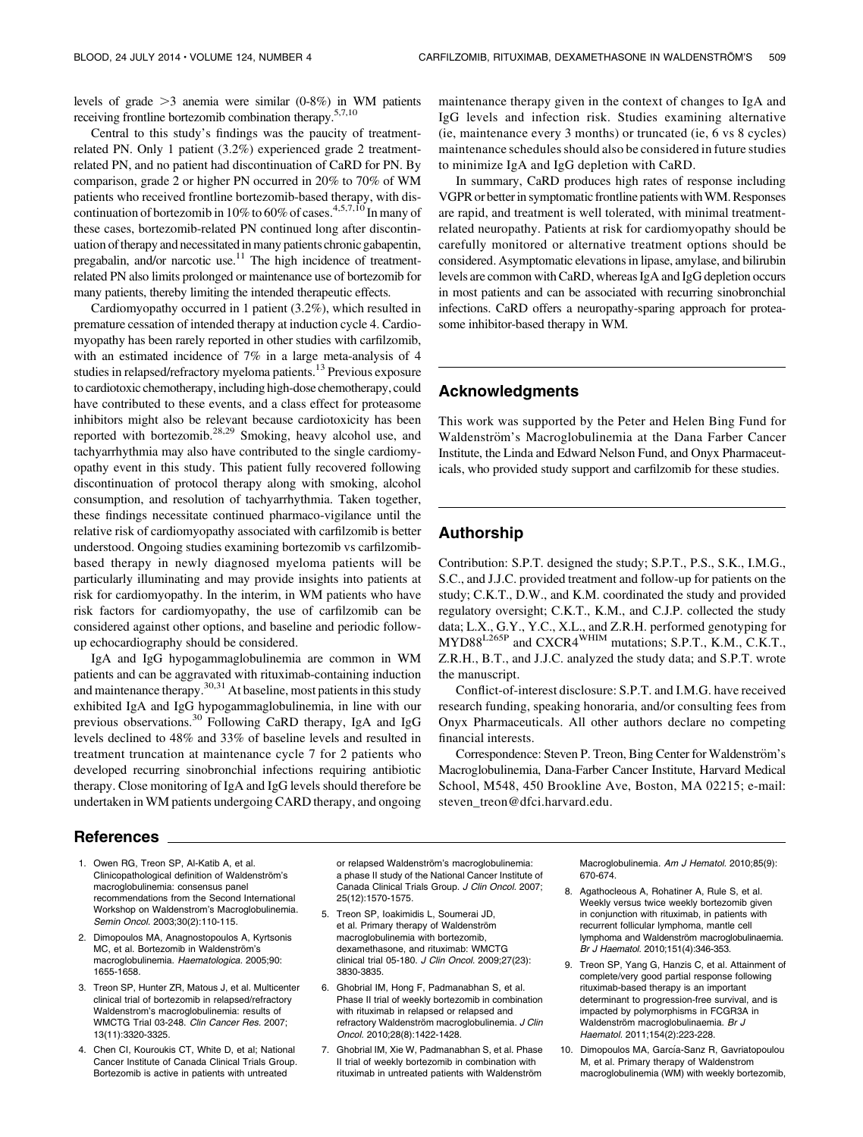levels of grade  $>3$  anemia were similar (0-8%) in WM patients receiving frontline bortezomib combination therapy.5,7,10

Central to this study's findings was the paucity of treatmentrelated PN. Only 1 patient (3.2%) experienced grade 2 treatmentrelated PN, and no patient had discontinuation of CaRD for PN. By comparison, grade 2 or higher PN occurred in 20% to 70% of WM patients who received frontline bortezomib-based therapy, with discontinuation of bortezomib in 10% to 60% of cases.<sup>4,5,7,10</sup> In many of these cases, bortezomib-related PN continued long after discontinuation of therapy and necessitated in many patients chronic gabapentin, pregabalin, and/or narcotic use.<sup>11</sup> The high incidence of treatmentrelated PN also limits prolonged or maintenance use of bortezomib for many patients, thereby limiting the intended therapeutic effects.

Cardiomyopathy occurred in 1 patient (3.2%), which resulted in premature cessation of intended therapy at induction cycle 4. Cardiomyopathy has been rarely reported in other studies with carfilzomib, with an estimated incidence of 7% in a large meta-analysis of 4 studies in relapsed/refractory myeloma patients.<sup>13</sup> Previous exposure to cardiotoxic chemotherapy, including high-dose chemotherapy, could have contributed to these events, and a class effect for proteasome inhibitors might also be relevant because cardiotoxicity has been reported with bortezomib.28,29 Smoking, heavy alcohol use, and tachyarrhythmia may also have contributed to the single cardiomyopathy event in this study. This patient fully recovered following discontinuation of protocol therapy along with smoking, alcohol consumption, and resolution of tachyarrhythmia. Taken together, these findings necessitate continued pharmaco-vigilance until the relative risk of cardiomyopathy associated with carfilzomib is better understood. Ongoing studies examining bortezomib vs carfilzomibbased therapy in newly diagnosed myeloma patients will be particularly illuminating and may provide insights into patients at risk for cardiomyopathy. In the interim, in WM patients who have risk factors for cardiomyopathy, the use of carfilzomib can be considered against other options, and baseline and periodic followup echocardiography should be considered.

IgA and IgG hypogammaglobulinemia are common in WM patients and can be aggravated with rituximab-containing induction and maintenance therapy.<sup>30,31</sup> At baseline, most patients in this study exhibited IgA and IgG hypogammaglobulinemia, in line with our previous observations.<sup>30</sup> Following CaRD therapy, IgA and IgG levels declined to 48% and 33% of baseline levels and resulted in treatment truncation at maintenance cycle 7 for 2 patients who developed recurring sinobronchial infections requiring antibiotic therapy. Close monitoring of IgA and IgG levels should therefore be undertaken in WM patients undergoing CARD therapy, and ongoing

maintenance therapy given in the context of changes to IgA and IgG levels and infection risk. Studies examining alternative (ie, maintenance every 3 months) or truncated (ie, 6 vs 8 cycles) maintenance schedules should also be considered in future studies to minimize IgA and IgG depletion with CaRD.

In summary, CaRD produces high rates of response including VGPR or better in symptomatic frontline patients withWM. Responses are rapid, and treatment is well tolerated, with minimal treatmentrelated neuropathy. Patients at risk for cardiomyopathy should be carefully monitored or alternative treatment options should be considered. Asymptomatic elevations in lipase, amylase, and bilirubin levels are common with CaRD, whereas IgA and IgG depletion occurs in most patients and can be associated with recurring sinobronchial infections. CaRD offers a neuropathy-sparing approach for proteasome inhibitor-based therapy in WM.

### Acknowledgments

This work was supported by the Peter and Helen Bing Fund for Waldenström's Macroglobulinemia at the Dana Farber Cancer Institute, the Linda and Edward Nelson Fund, and Onyx Pharmaceuticals, who provided study support and carfilzomib for these studies.

### Authorship

Contribution: S.P.T. designed the study; S.P.T., P.S., S.K., I.M.G., S.C., and J.J.C. provided treatment and follow-up for patients on the study; C.K.T., D.W., and K.M. coordinated the study and provided regulatory oversight; C.K.T., K.M., and C.J.P. collected the study data; L.X., G.Y., Y.C., X.L., and Z.R.H. performed genotyping for MYD88<sup>L265P</sup> and CXCR4<sup>WHIM</sup> mutations; S.P.T., K.M., C.K.T., Z.R.H., B.T., and J.J.C. analyzed the study data; and S.P.T. wrote the manuscript.

Conflict-of-interest disclosure: S.P.T. and I.M.G. have received research funding, speaking honoraria, and/or consulting fees from Onyx Pharmaceuticals. All other authors declare no competing financial interests.

Correspondence: Steven P. Treon, Bing Center for Waldenström's Macroglobulinemia, Dana-Farber Cancer Institute, Harvard Medical School, M548, 450 Brookline Ave, Boston, MA 02215; e-mail: [steven\\_treon@dfci.harvard.edu](mailto:steven_treon@dfci.harvard.edu).

#### References

- 1. Owen RG, Treon SP, Al-Katib A, et al. Clinicopathological definition of Waldenström's macroglobulinemia: consensus panel recommendations from the Second International Workshop on Waldenstrom's Macroglobulinemia. Semin Oncol. 2003;30(2):110-115.
- 2. Dimopoulos MA, Anagnostopoulos A, Kyrtsonis MC, et al. Bortezomib in Waldenström's macroglobulinemia. Haematologica. 2005;90: 1655-1658.
- 3. Treon SP, Hunter ZR, Matous J, et al. Multicenter clinical trial of bortezomib in relapsed/refractory Waldenstrom's macroglobulinemia: results of WMCTG Trial 03-248. Clin Cancer Res. 2007; 13(11):3320-3325.
- 4. Chen CI, Kouroukis CT, White D, et al; National Cancer Institute of Canada Clinical Trials Group. Bortezomib is active in patients with untreated

or relapsed Waldenström's macroglobulinemia: a phase II study of the National Cancer Institute of Canada Clinical Trials Group. J Clin Oncol. 2007; 25(12):1570-1575.

- 5. Treon SP, Ioakimidis L, Soumerai JD, et al. Primary therapy of Waldenström macroglobulinemia with bortezomib, dexamethasone, and rituximab: WMCTG clinical trial 05-180. J Clin Oncol. 2009;27(23): 3830-3835.
- 6. Ghobrial IM, Hong F, Padmanabhan S, et al. Phase II trial of weekly bortezomib in combination with rituximab in relapsed or relapsed and refractory Waldenström macroglobulinemia. J Clin Oncol. 2010;28(8):1422-1428.
- 7. Ghobrial IM, Xie W, Padmanabhan S, et al. Phase II trial of weekly bortezomib in combination with rituximab in untreated patients with Waldenström

Macroglobulinemia. Am J Hematol. 2010;85(9): 670-674.

- 8. Agathocleous A, Rohatiner A, Rule S, et al. Weekly versus twice weekly bortezomib given in conjunction with rituximab, in patients with recurrent follicular lymphoma, mantle cell lymphoma and Waldenström macroglobulinaemia. Br J Haematol. 2010;151(4):346-353.
- 9. Treon SP, Yang G, Hanzis C, et al. Attainment of complete/very good partial response following rituximab-based therapy is an important determinant to progression-free survival, and is impacted by polymorphisms in FCGR3A in Waldenström macroglobulinaemia. Br J Haematol. 2011;154(2):223-228.
- 10. Dimopoulos MA, García-Sanz R, Gavriatopoulou M, et al. Primary therapy of Waldenstrom macroglobulinemia (WM) with weekly bortezomib,